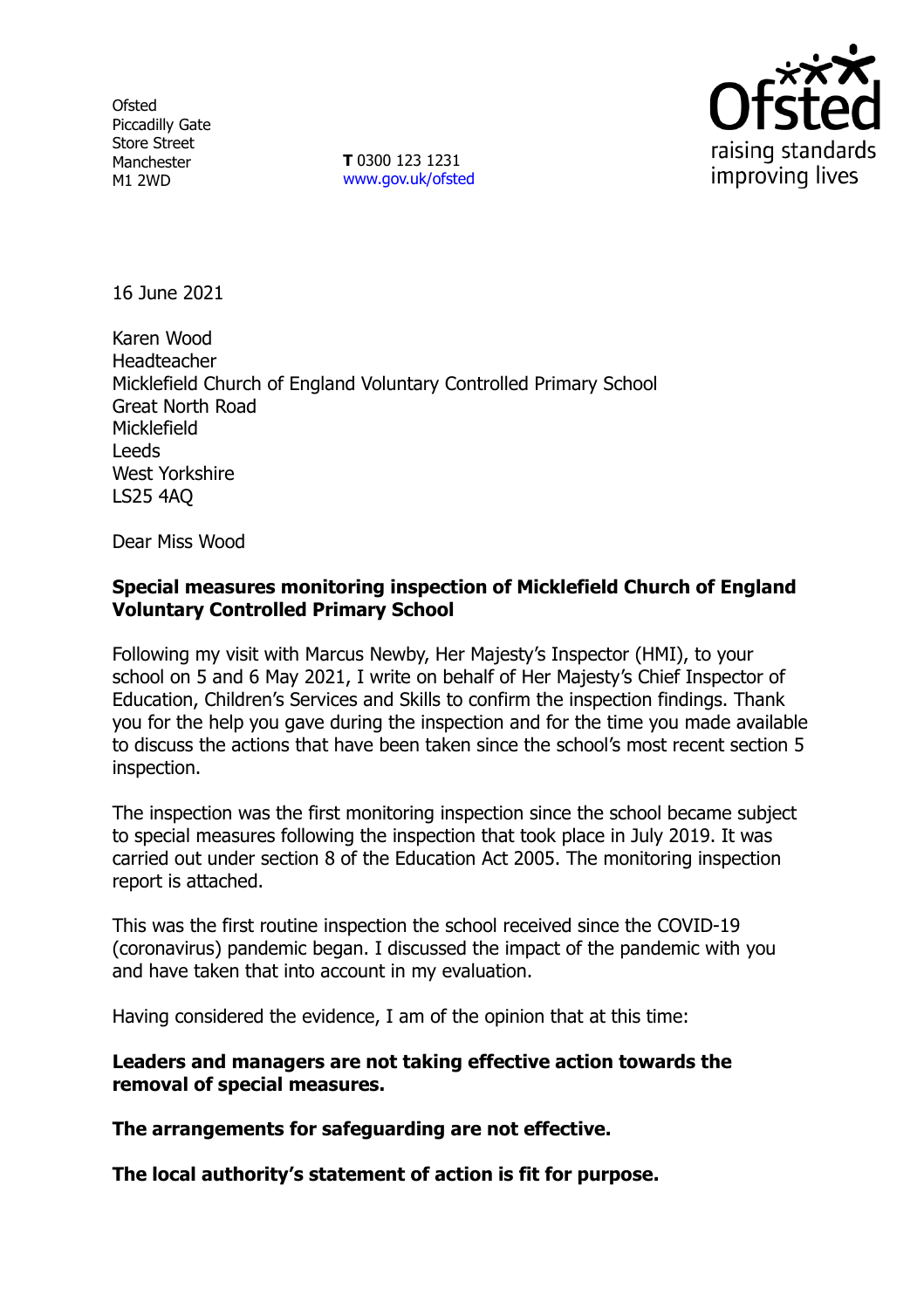**Ofsted** Piccadilly Gate Store Street Manchester M1 2WD

**T** 0300 123 1231 [www.gov.uk/ofsted](http://www.gov.uk/ofsted)



16 June 2021

Karen Wood Headteacher Micklefield Church of England Voluntary Controlled Primary School Great North Road **Micklefield** Leeds West Yorkshire LS25 4AQ

Dear Miss Wood

# **Special measures monitoring inspection of Micklefield Church of England Voluntary Controlled Primary School**

Following my visit with Marcus Newby, Her Majesty's Inspector (HMI), to your school on 5 and 6 May 2021, I write on behalf of Her Majesty's Chief Inspector of Education, Children's Services and Skills to confirm the inspection findings. Thank you for the help you gave during the inspection and for the time you made available to discuss the actions that have been taken since the school's most recent section 5 inspection.

The inspection was the first monitoring inspection since the school became subject to special measures following the inspection that took place in July 2019. It was carried out under section 8 of the Education Act 2005. The monitoring inspection report is attached.

This was the first routine inspection the school received since the COVID-19 (coronavirus) pandemic began. I discussed the impact of the pandemic with you and have taken that into account in my evaluation.

Having considered the evidence, I am of the opinion that at this time:

**Leaders and managers are not taking effective action towards the removal of special measures.**

**The arrangements for safeguarding are not effective.**

**The local authority's statement of action is fit for purpose.**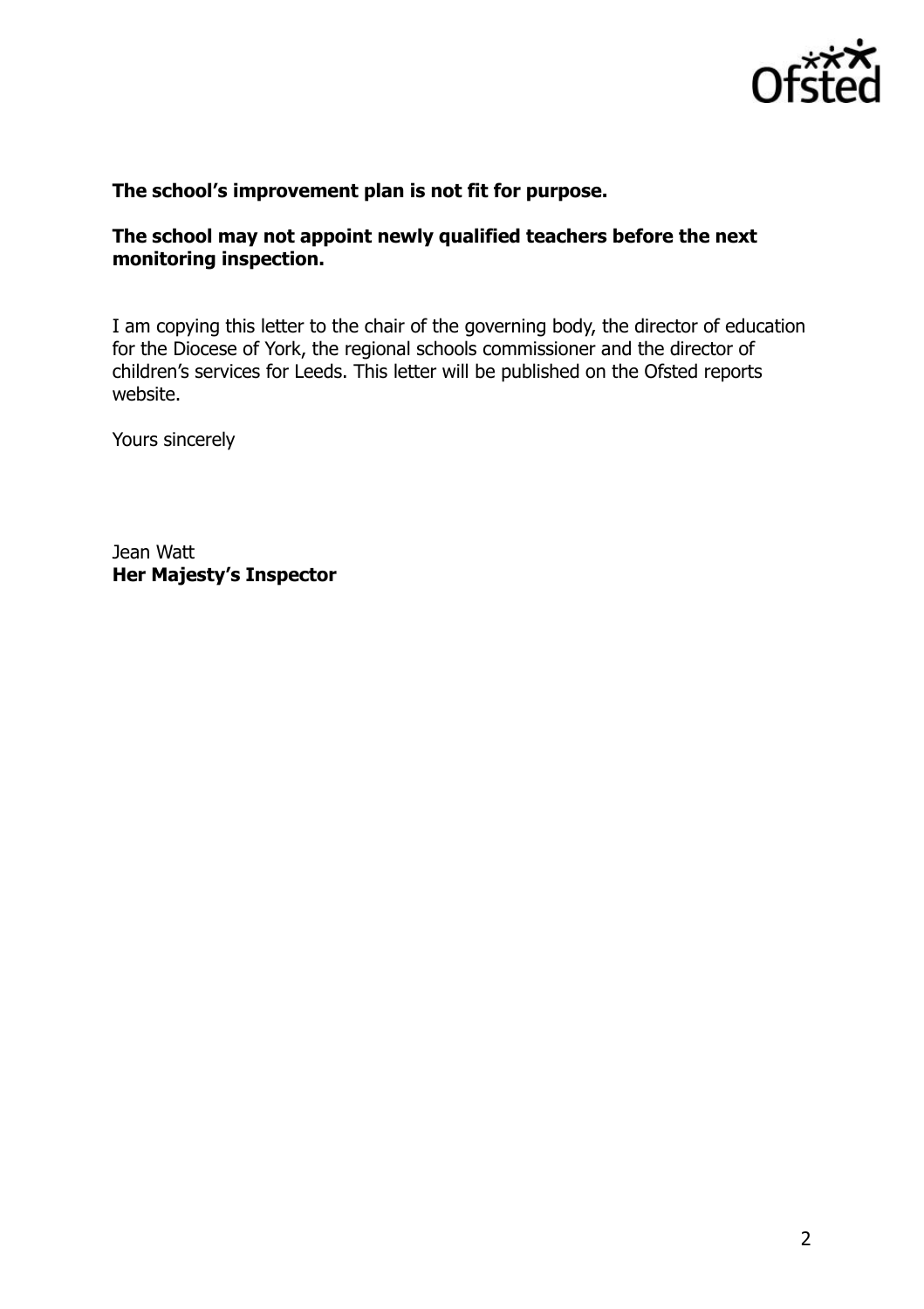

## **The school's improvement plan is not fit for purpose.**

## **The school may not appoint newly qualified teachers before the next monitoring inspection.**

I am copying this letter to the chair of the governing body, the director of education for the Diocese of York, the regional schools commissioner and the director of children's services for Leeds. This letter will be published on the Ofsted reports website.

Yours sincerely

Jean Watt **Her Majesty's Inspector**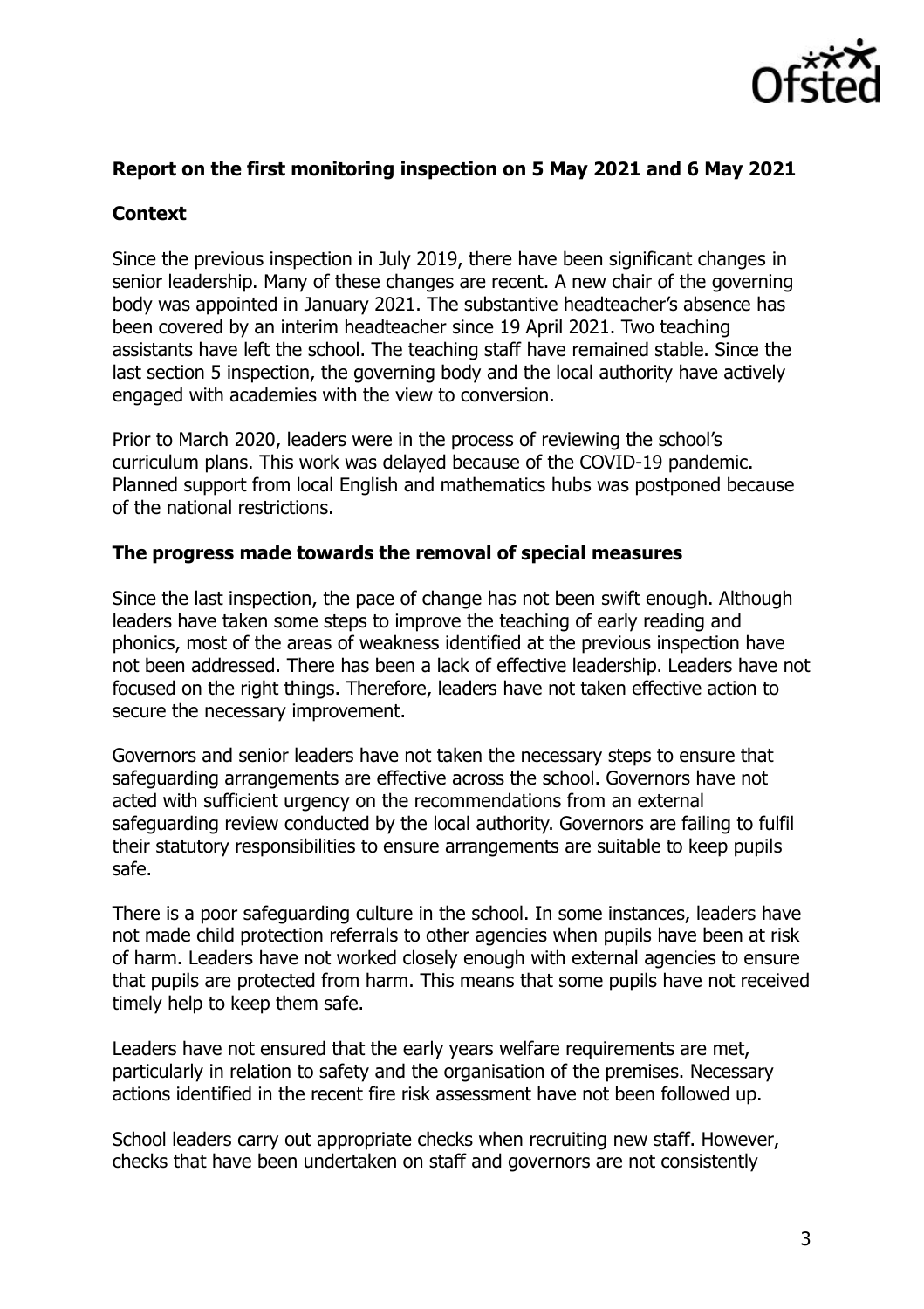

## **Report on the first monitoring inspection on 5 May 2021 and 6 May 2021**

# **Context**

Since the previous inspection in July 2019, there have been significant changes in senior leadership. Many of these changes are recent. A new chair of the governing body was appointed in January 2021. The substantive headteacher's absence has been covered by an interim headteacher since 19 April 2021. Two teaching assistants have left the school. The teaching staff have remained stable. Since the last section 5 inspection, the governing body and the local authority have actively engaged with academies with the view to conversion.

Prior to March 2020, leaders were in the process of reviewing the school's curriculum plans. This work was delayed because of the COVID-19 pandemic. Planned support from local English and mathematics hubs was postponed because of the national restrictions.

### **The progress made towards the removal of special measures**

Since the last inspection, the pace of change has not been swift enough. Although leaders have taken some steps to improve the teaching of early reading and phonics, most of the areas of weakness identified at the previous inspection have not been addressed. There has been a lack of effective leadership. Leaders have not focused on the right things. Therefore, leaders have not taken effective action to secure the necessary improvement.

Governors and senior leaders have not taken the necessary steps to ensure that safeguarding arrangements are effective across the school. Governors have not acted with sufficient urgency on the recommendations from an external safeguarding review conducted by the local authority. Governors are failing to fulfil their statutory responsibilities to ensure arrangements are suitable to keep pupils safe.

There is a poor safeguarding culture in the school. In some instances, leaders have not made child protection referrals to other agencies when pupils have been at risk of harm. Leaders have not worked closely enough with external agencies to ensure that pupils are protected from harm. This means that some pupils have not received timely help to keep them safe.

Leaders have not ensured that the early years welfare requirements are met, particularly in relation to safety and the organisation of the premises. Necessary actions identified in the recent fire risk assessment have not been followed up.

School leaders carry out appropriate checks when recruiting new staff. However, checks that have been undertaken on staff and governors are not consistently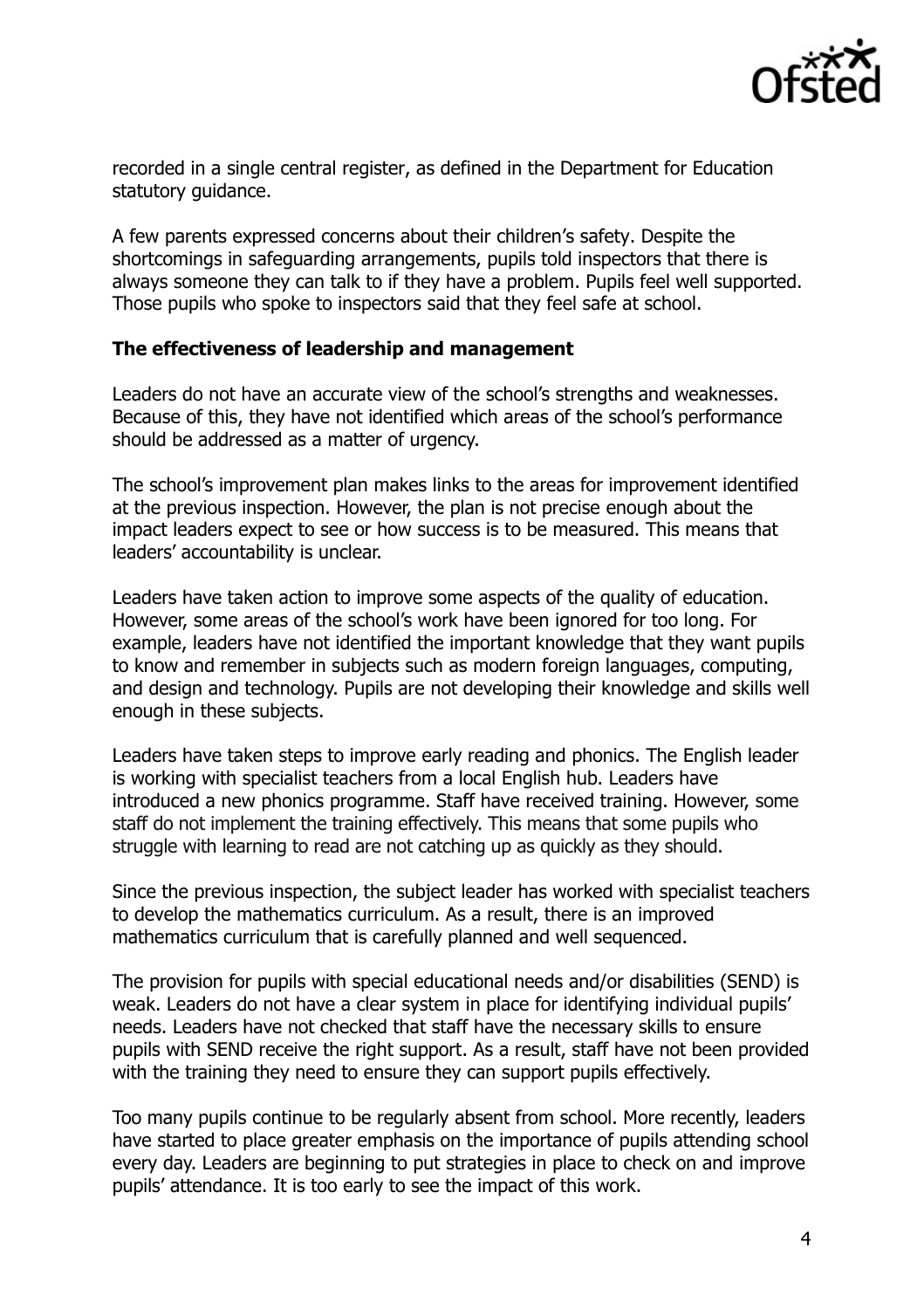

recorded in a single central register, as defined in the Department for Education statutory guidance.

A few parents expressed concerns about their children's safety. Despite the shortcomings in safeguarding arrangements, pupils told inspectors that there is always someone they can talk to if they have a problem. Pupils feel well supported. Those pupils who spoke to inspectors said that they feel safe at school.

### **The effectiveness of leadership and management**

Leaders do not have an accurate view of the school's strengths and weaknesses. Because of this, they have not identified which areas of the school's performance should be addressed as a matter of urgency.

The school's improvement plan makes links to the areas for improvement identified at the previous inspection. However, the plan is not precise enough about the impact leaders expect to see or how success is to be measured. This means that leaders' accountability is unclear.

Leaders have taken action to improve some aspects of the quality of education. However, some areas of the school's work have been ignored for too long. For example, leaders have not identified the important knowledge that they want pupils to know and remember in subjects such as modern foreign languages, computing, and design and technology. Pupils are not developing their knowledge and skills well enough in these subjects.

Leaders have taken steps to improve early reading and phonics. The English leader is working with specialist teachers from a local English hub. Leaders have introduced a new phonics programme. Staff have received training. However, some staff do not implement the training effectively. This means that some pupils who struggle with learning to read are not catching up as quickly as they should.

Since the previous inspection, the subject leader has worked with specialist teachers to develop the mathematics curriculum. As a result, there is an improved mathematics curriculum that is carefully planned and well sequenced.

The provision for pupils with special educational needs and/or disabilities (SEND) is weak. Leaders do not have a clear system in place for identifying individual pupils' needs. Leaders have not checked that staff have the necessary skills to ensure pupils with SEND receive the right support. As a result, staff have not been provided with the training they need to ensure they can support pupils effectively.

Too many pupils continue to be regularly absent from school. More recently, leaders have started to place greater emphasis on the importance of pupils attending school every day. Leaders are beginning to put strategies in place to check on and improve pupils' attendance. It is too early to see the impact of this work.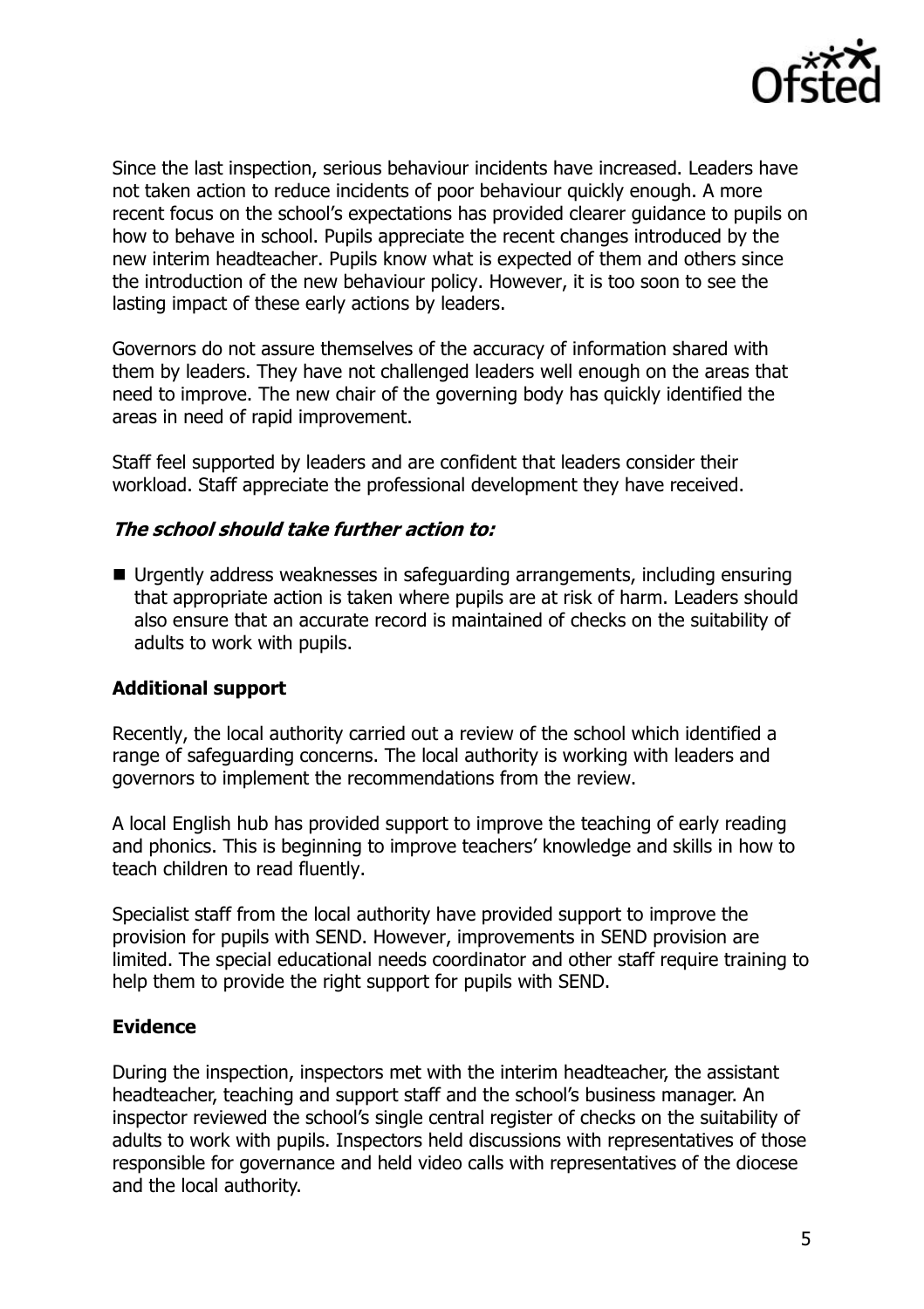

Since the last inspection, serious behaviour incidents have increased. Leaders have not taken action to reduce incidents of poor behaviour quickly enough. A more recent focus on the school's expectations has provided clearer guidance to pupils on how to behave in school. Pupils appreciate the recent changes introduced by the new interim headteacher. Pupils know what is expected of them and others since the introduction of the new behaviour policy. However, it is too soon to see the lasting impact of these early actions by leaders.

Governors do not assure themselves of the accuracy of information shared with them by leaders. They have not challenged leaders well enough on the areas that need to improve. The new chair of the governing body has quickly identified the areas in need of rapid improvement.

Staff feel supported by leaders and are confident that leaders consider their workload. Staff appreciate the professional development they have received.

### **The school should take further action to:**

■ Urgently address weaknesses in safeguarding arrangements, including ensuring that appropriate action is taken where pupils are at risk of harm. Leaders should also ensure that an accurate record is maintained of checks on the suitability of adults to work with pupils.

## **Additional support**

Recently, the local authority carried out a review of the school which identified a range of safeguarding concerns. The local authority is working with leaders and governors to implement the recommendations from the review.

A local English hub has provided support to improve the teaching of early reading and phonics. This is beginning to improve teachers' knowledge and skills in how to teach children to read fluently.

Specialist staff from the local authority have provided support to improve the provision for pupils with SEND. However, improvements in SEND provision are limited. The special educational needs coordinator and other staff require training to help them to provide the right support for pupils with SEND.

#### **Evidence**

During the inspection, inspectors met with the interim headteacher, the assistant headteacher, teaching and support staff and the school's business manager. An inspector reviewed the school's single central register of checks on the suitability of adults to work with pupils. Inspectors held discussions with representatives of those responsible for governance and held video calls with representatives of the diocese and the local authority.